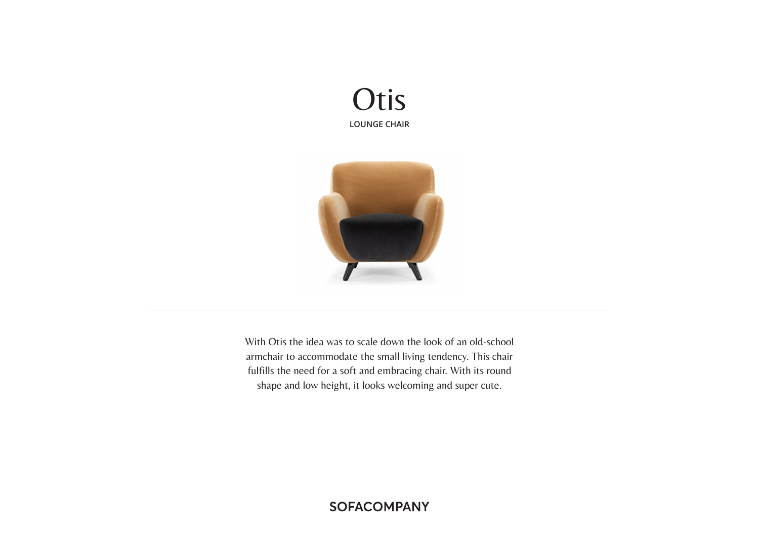



With Otis the idea was to scale down the look of an old-school armchair to accommodate the small living tendency. This chair fulfills the need for a soft and embracing chair. With its round shape and low height, it looks welcoming and super cute.

# **SOFACOMPANY**